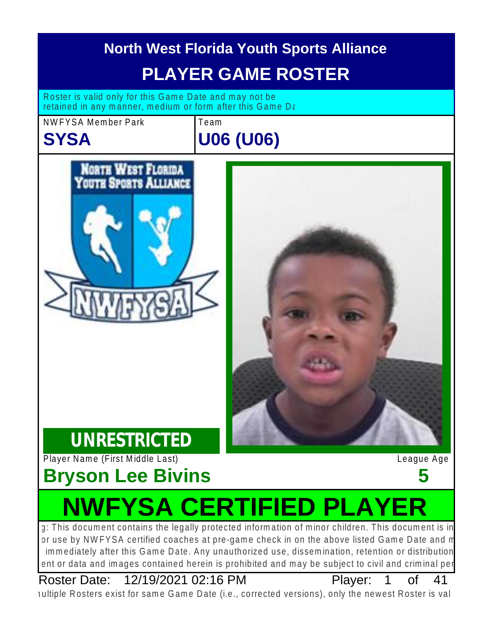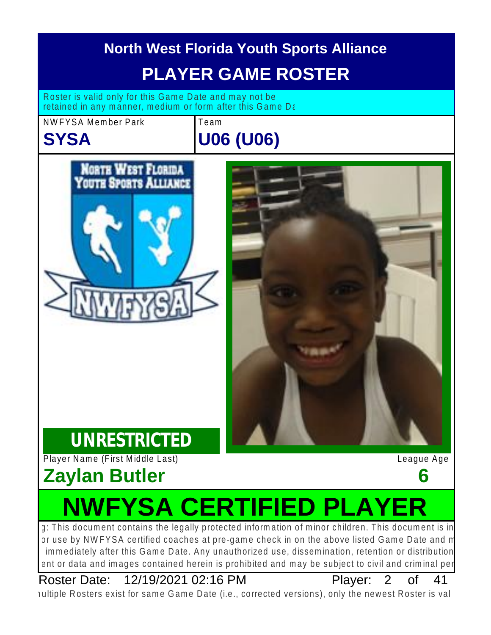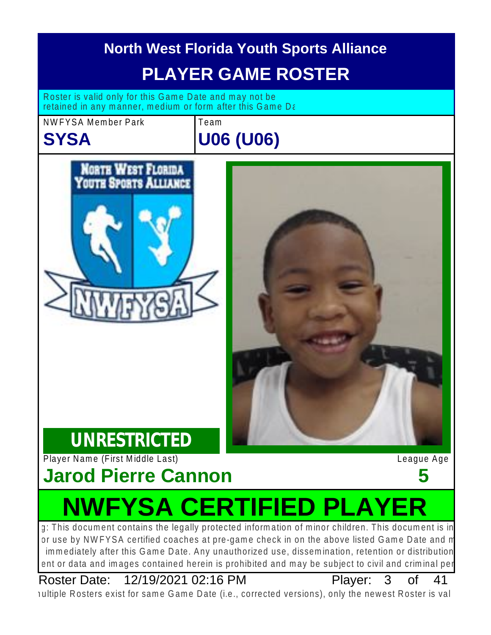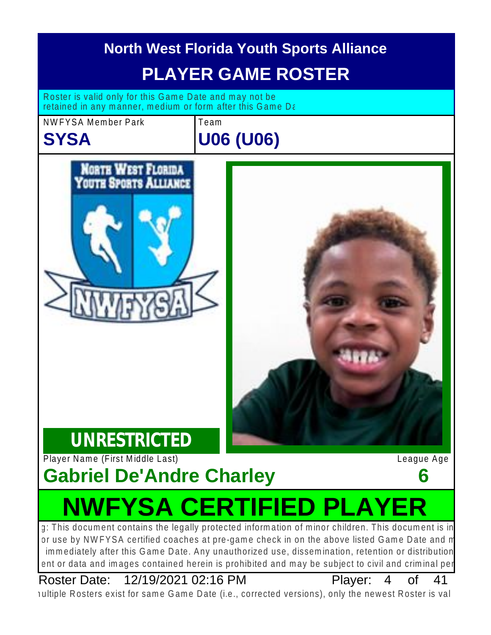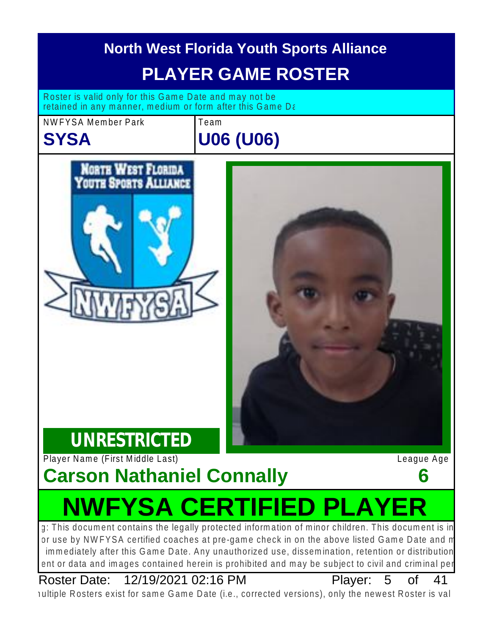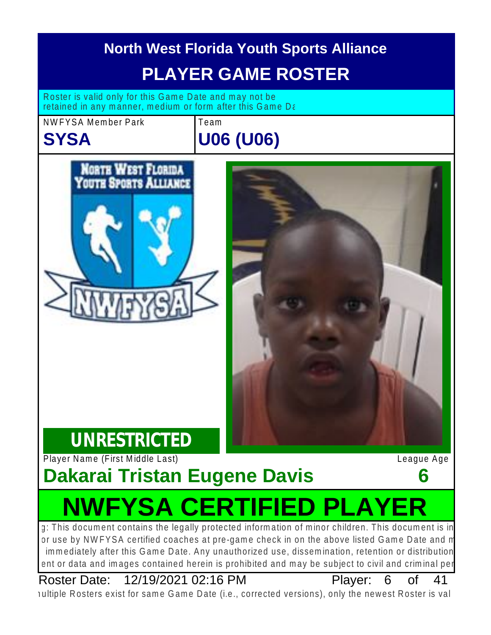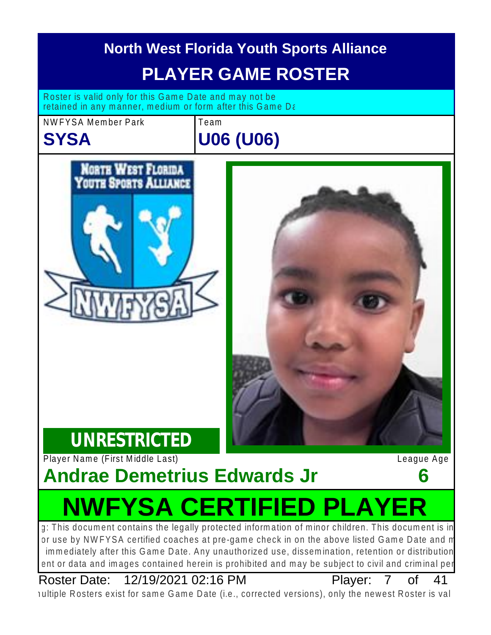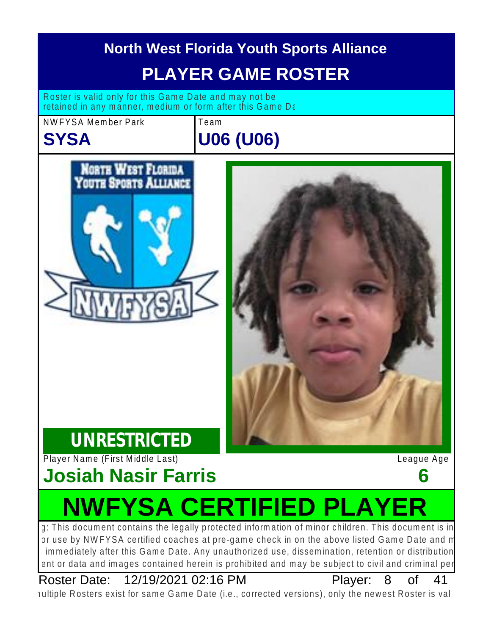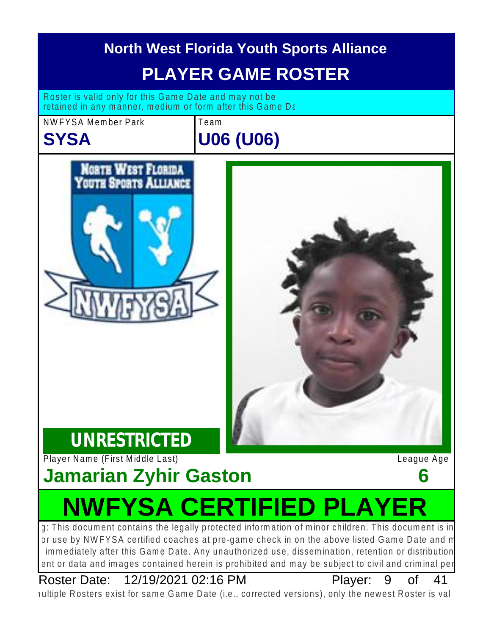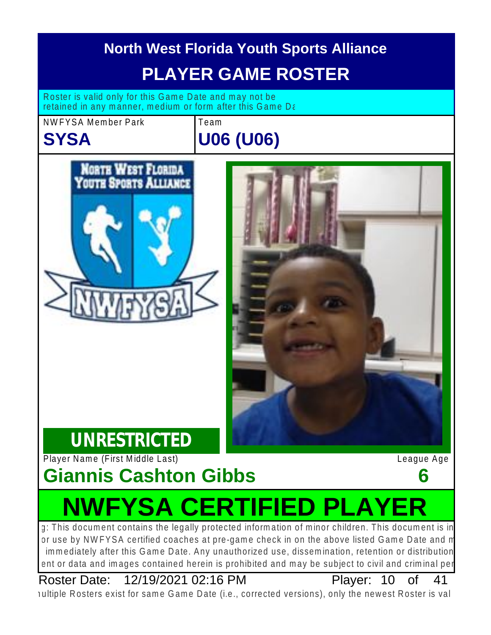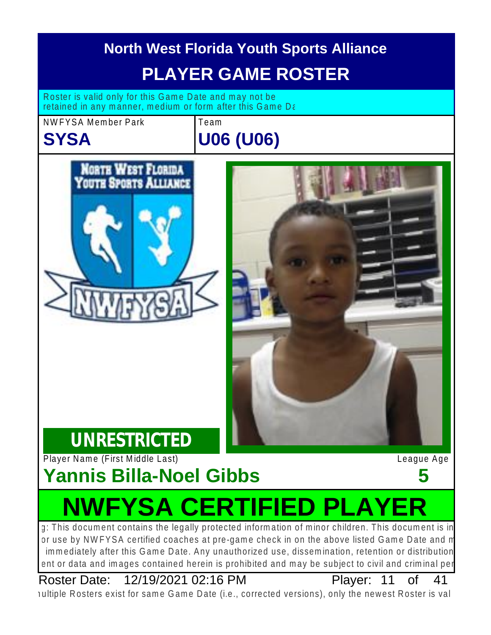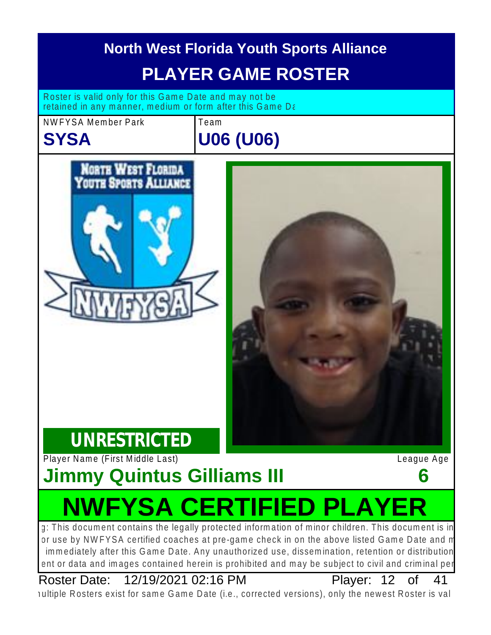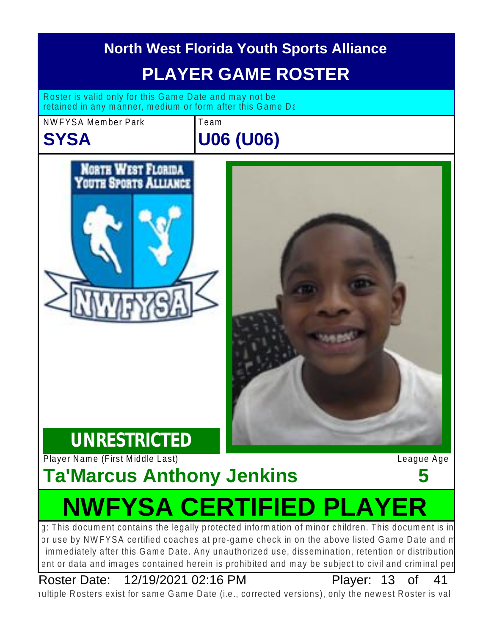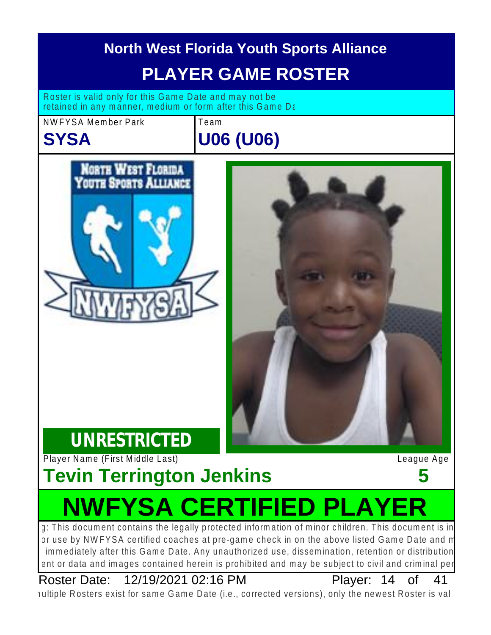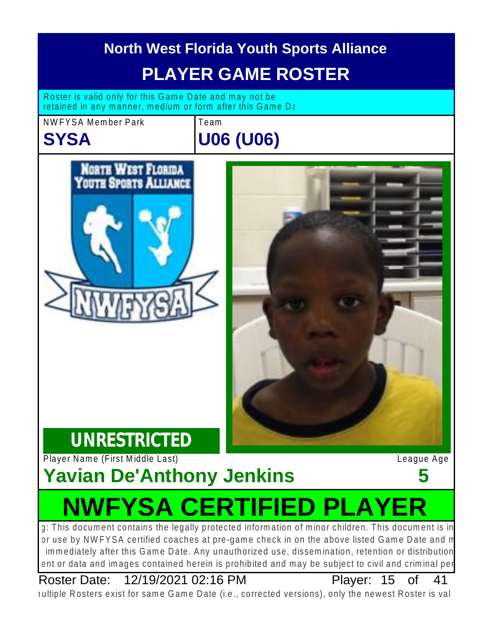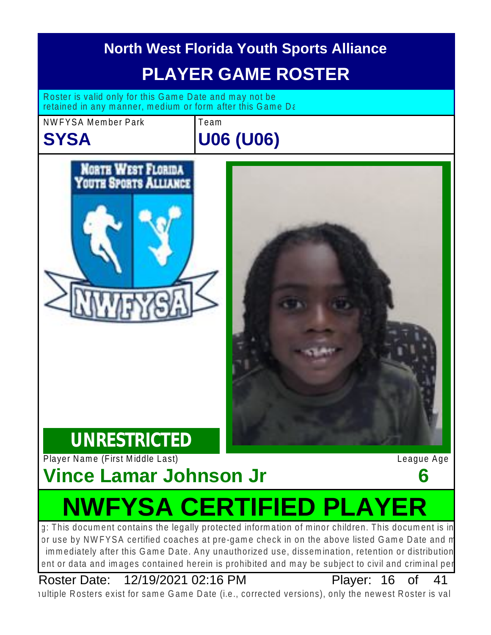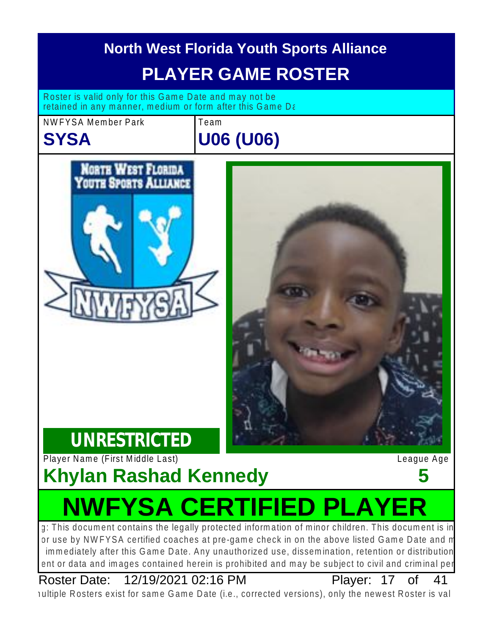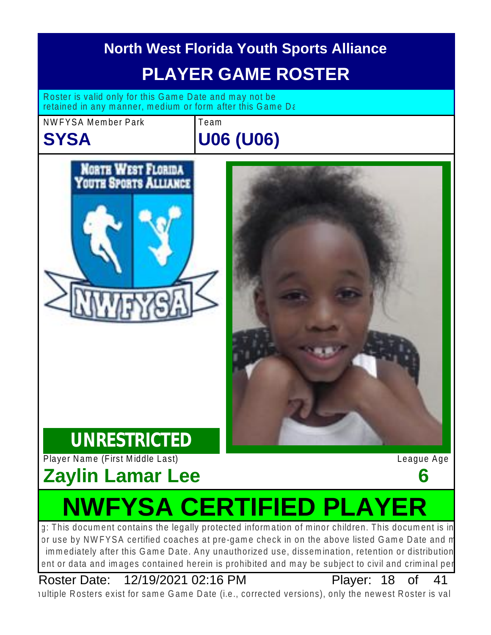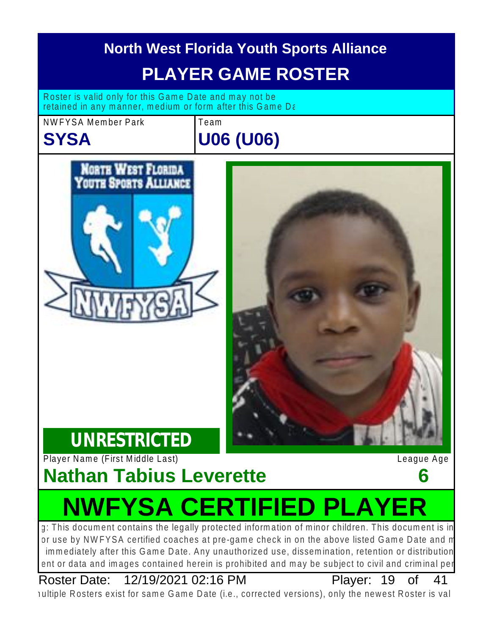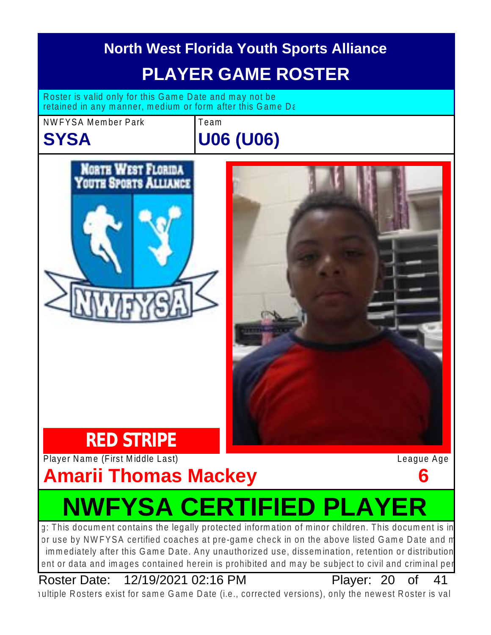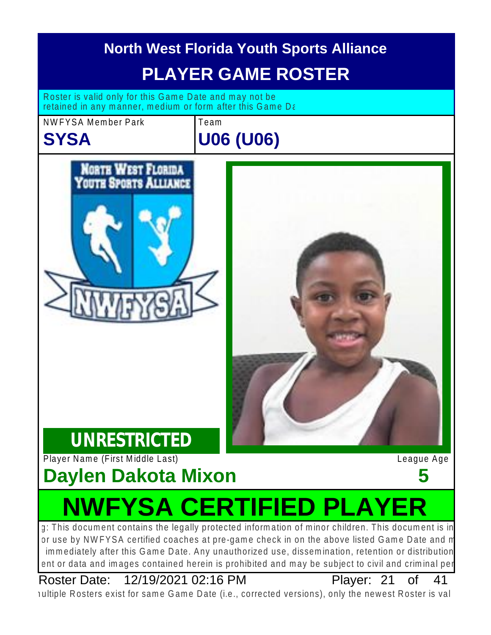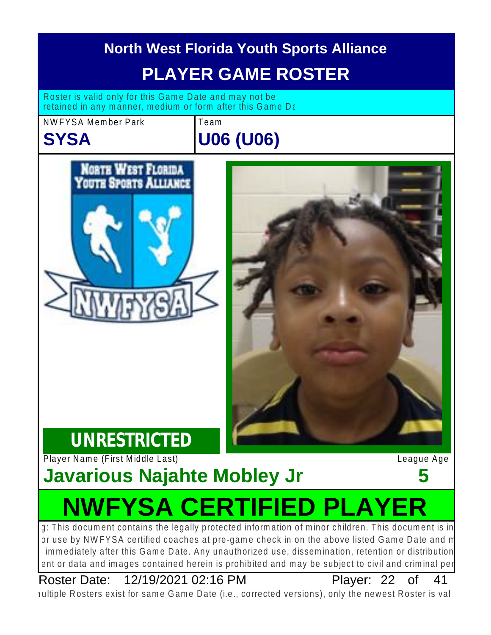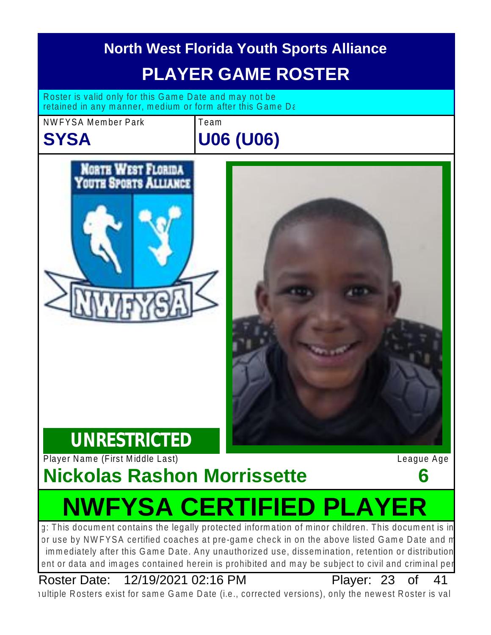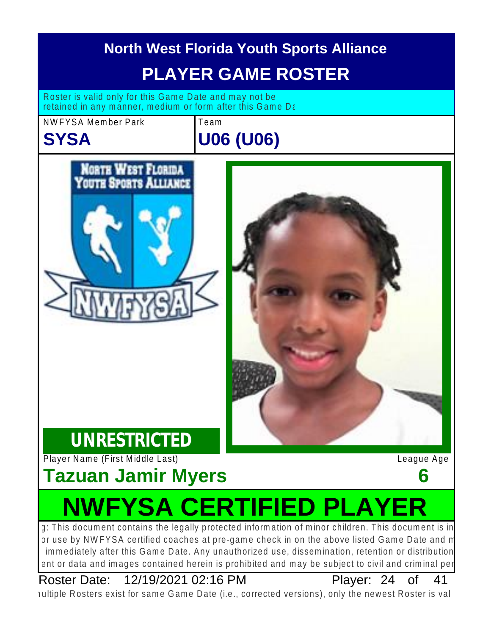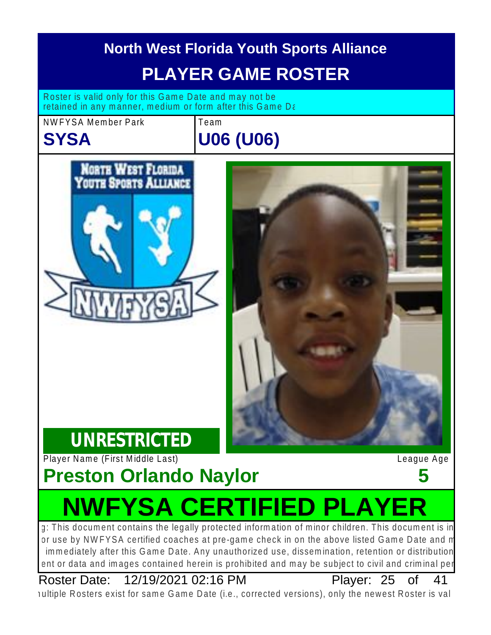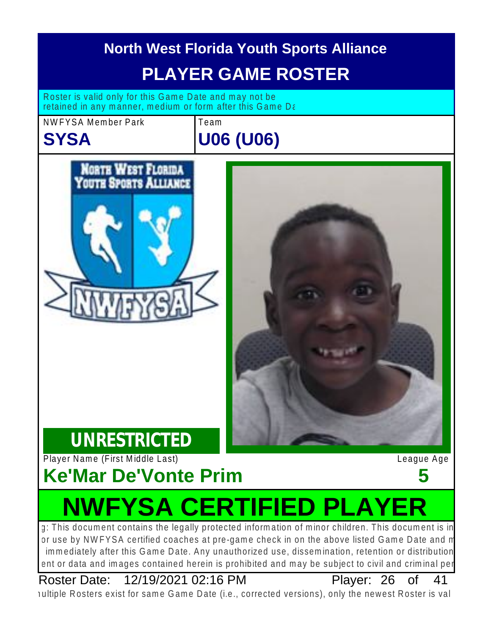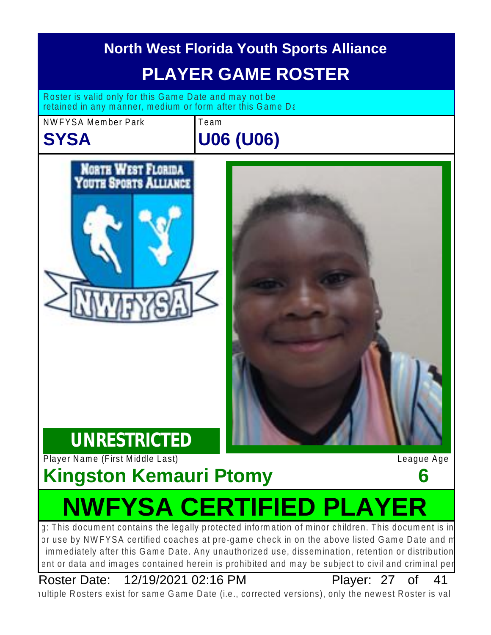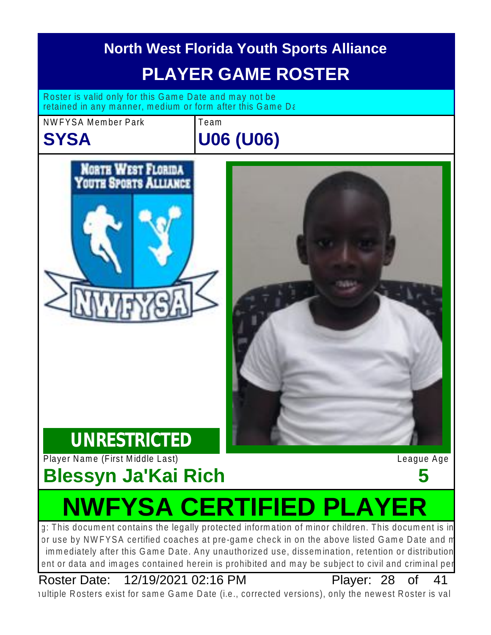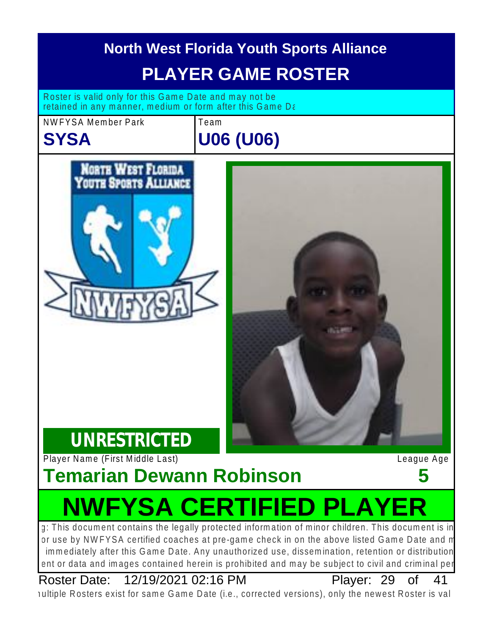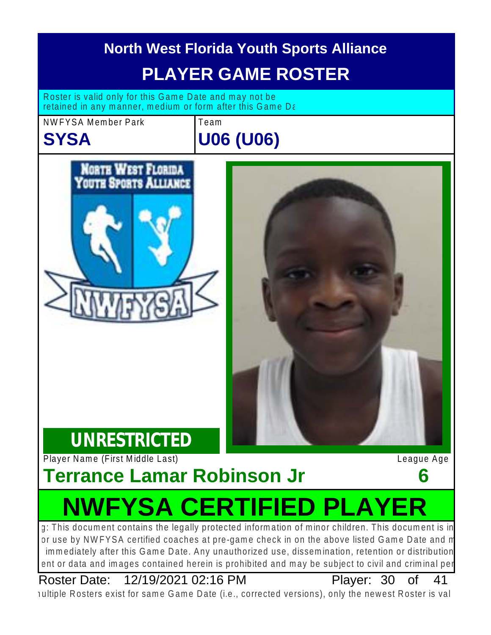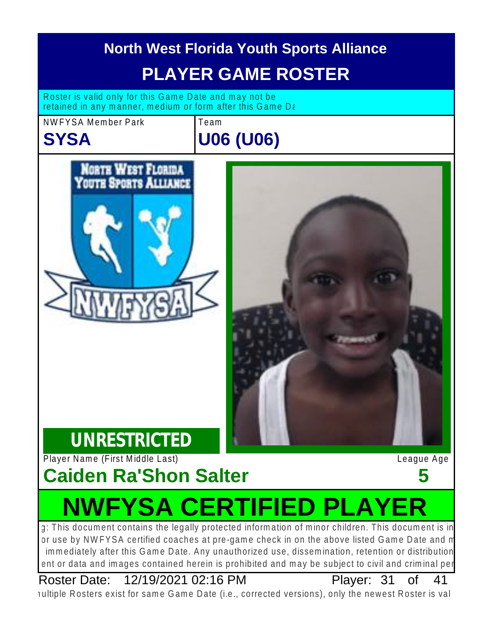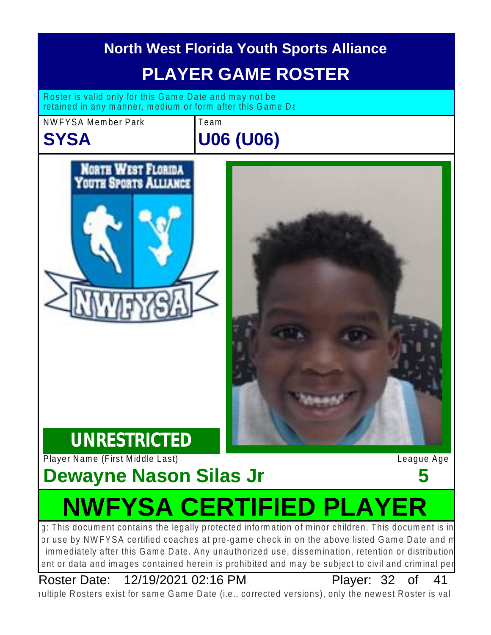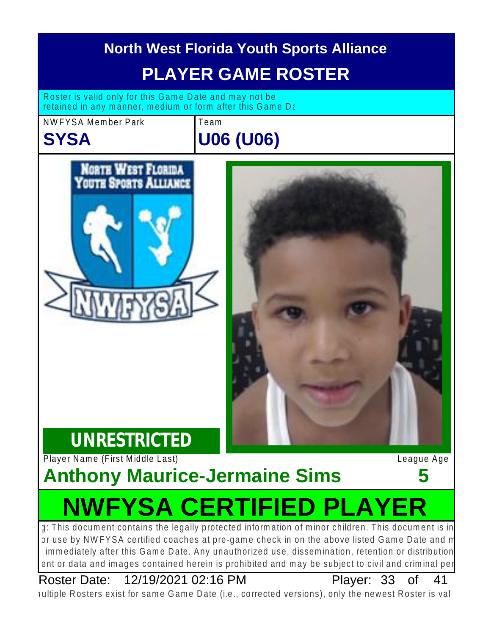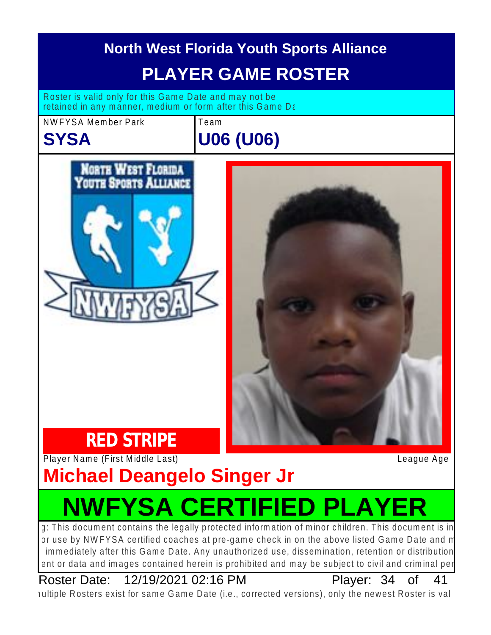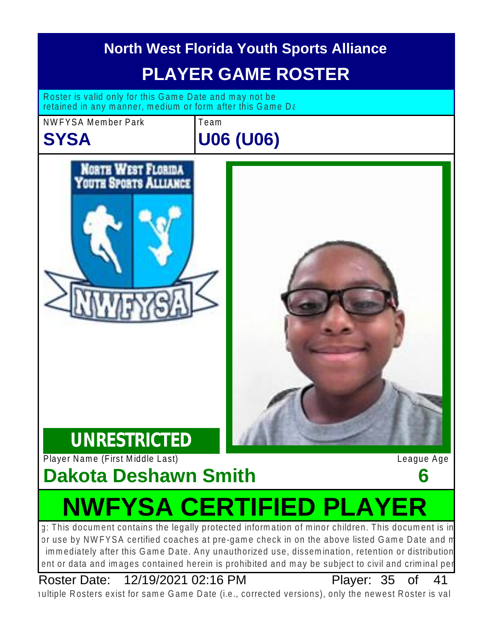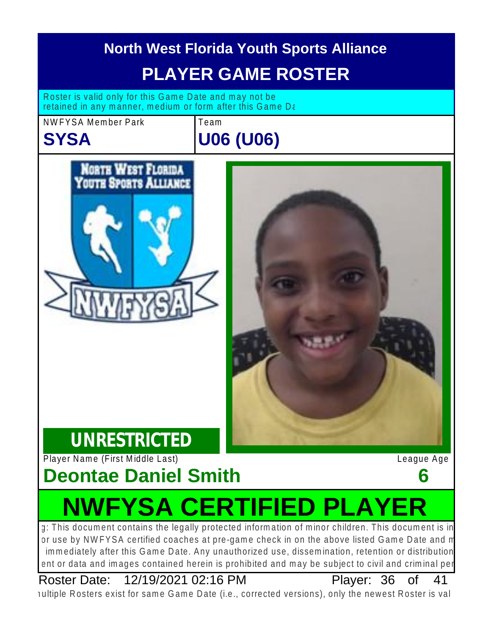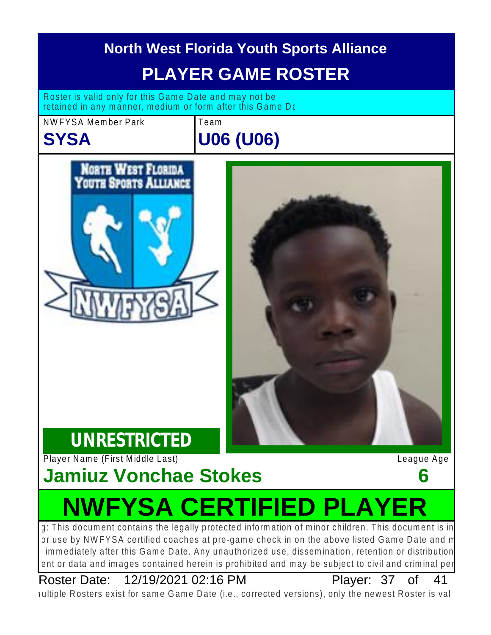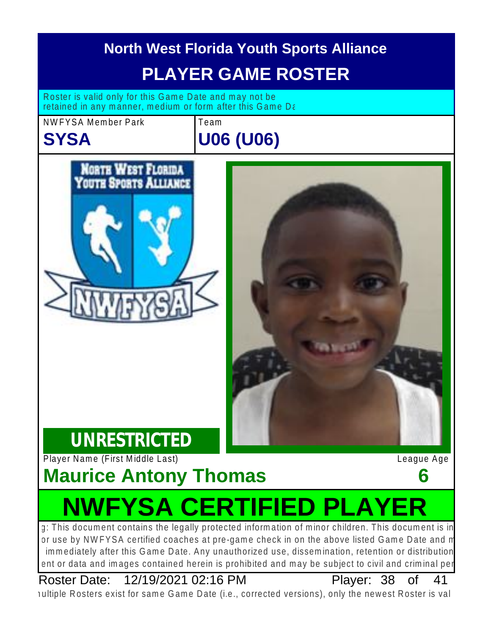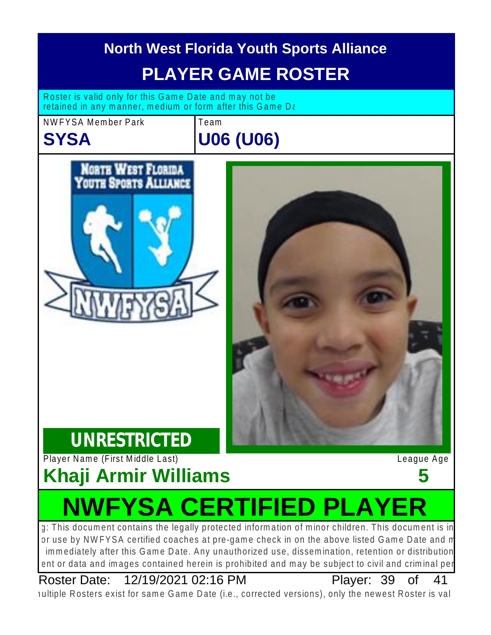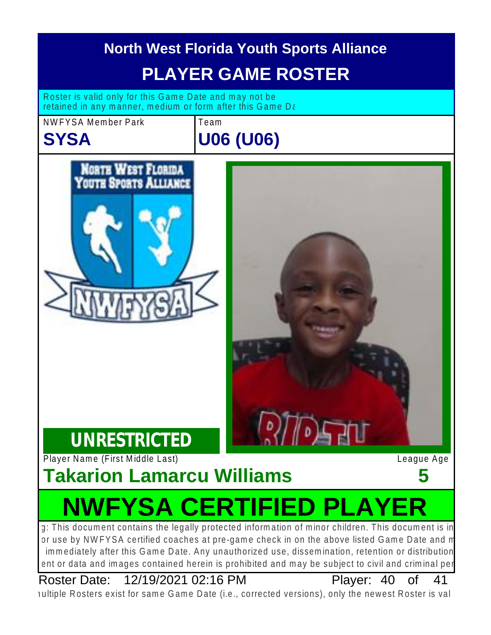

nultiple Rosters exist for same Game Date (i.e., corrected versions), only the newest Roster is val